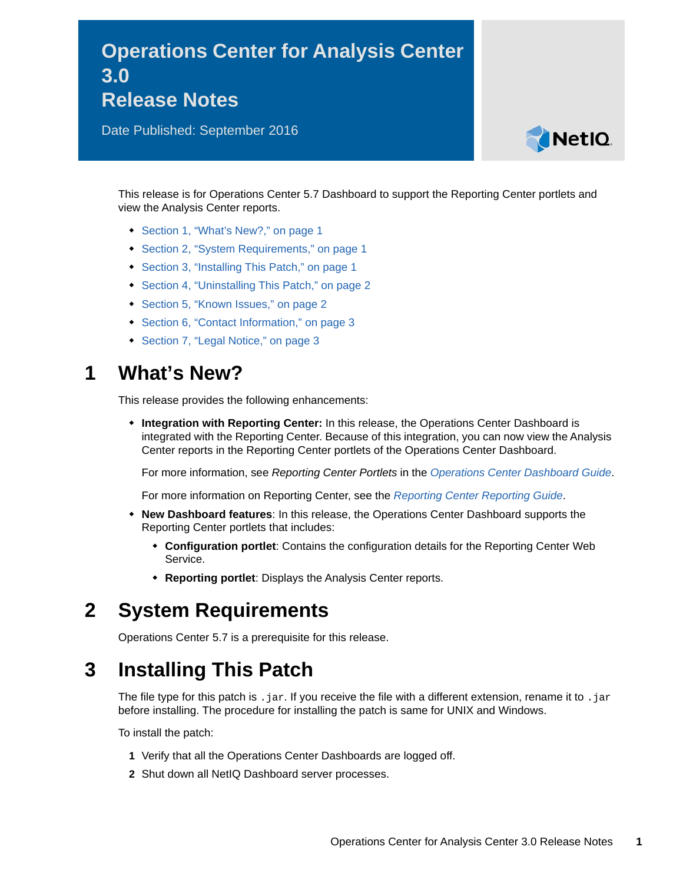# **Operations Center for Analysis Center 3.0 Release Notes**

Date Published: September 2016



This release is for Operations Center 5.7 Dashboard to support the Reporting Center portlets and view the Analysis Center reports.

- [Section 1, "What's New?," on page 1](#page-0-0)
- [Section 2, "System Requirements," on page 1](#page-0-1)
- [Section 3, "Installing This Patch," on page 1](#page-0-2)
- [Section 4, "Uninstalling This Patch," on page 2](#page-1-1)
- [Section 5, "Known Issues," on page 2](#page-1-0)
- [Section 6, "Contact Information," on page 3](#page-2-1)
- [Section 7, "Legal Notice," on page 3](#page-2-0)

#### <span id="page-0-0"></span>**1 What's New?**

This release provides the following enhancements:

 **Integration with Reporting Center:** In this release, the Operations Center Dashboard is integrated with the Reporting Center. Because of this integration, you can now view the Analysis Center reports in the Reporting Center portlets of the Operations Center Dashboard.

For more information, see *Reporting Center Portlets* in the *[Operations Center Dashboard Guide](https://www.netiq.com/documentation/operations-center-57/pdfdoc/dashboard/dashboard.pdf)*.

For more information on Reporting Center, see the *[Reporting Center Reporting Guide](https://www.netiq.com/documentation/appmanager-modules/pdfdoc/reportingguide/reportingguide.pdf)*.

- **New Dashboard features**: In this release, the Operations Center Dashboard supports the Reporting Center portlets that includes:
	- **Configuration portlet**: Contains the configuration details for the Reporting Center Web Service.
	- **Reporting portlet**: Displays the Analysis Center reports.

## <span id="page-0-1"></span>**2 System Requirements**

Operations Center 5.7 is a prerequisite for this release.

## <span id="page-0-2"></span>**3 Installing This Patch**

The file type for this patch is . jar. If you receive the file with a different extension, rename it to . jar before installing. The procedure for installing the patch is same for UNIX and Windows.

To install the patch:

- **1** Verify that all the Operations Center Dashboards are logged off.
- **2** Shut down all NetIQ Dashboard server processes.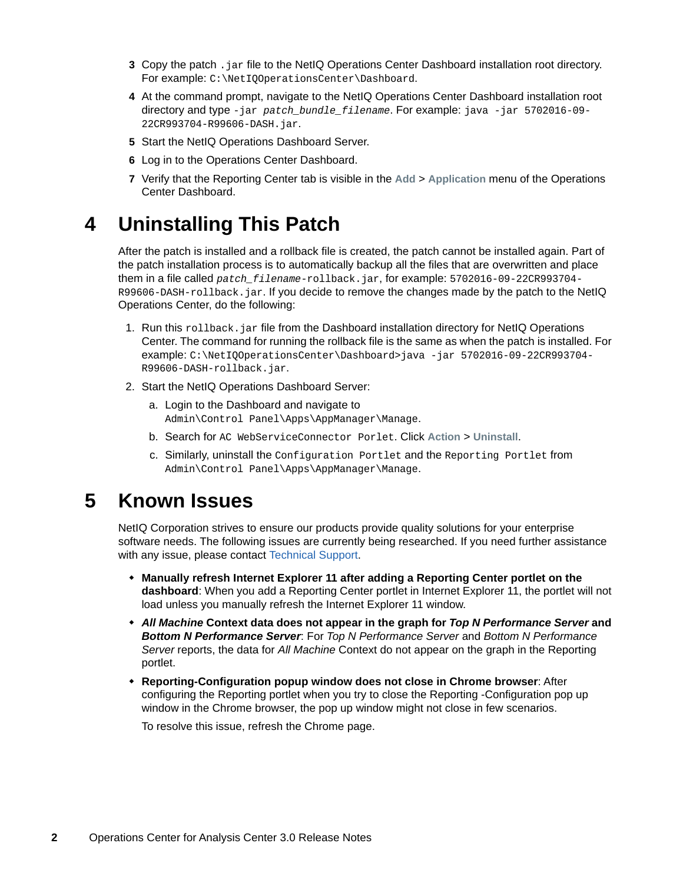- **3** Copy the patch . jar file to the NetIQ Operations Center Dashboard installation root directory. For example: C:\NetIQOperationsCenter\Dashboard.
- **4** At the command prompt, navigate to the NetIQ Operations Center Dashboard installation root directory and type -jar *patch\_bundle\_filename*. For example: java -jar 5702016-09- 22CR993704-R99606-DASH.jar.
- **5** Start the NetIQ Operations Dashboard Server.
- **6** Log in to the Operations Center Dashboard.
- **7** Verify that the Reporting Center tab is visible in the **Add** > **Application** menu of the Operations Center Dashboard.

## <span id="page-1-1"></span>**4 Uninstalling This Patch**

After the patch is installed and a rollback file is created, the patch cannot be installed again. Part of the patch installation process is to automatically backup all the files that are overwritten and place them in a file called *patch\_filename*-rollback.jar, for example: 5702016-09-22CR993704- R99606-DASH-rollback.jar. If you decide to remove the changes made by the patch to the NetIQ Operations Center, do the following:

- 1. Run this rollback. jar file from the Dashboard installation directory for NetIQ Operations Center. The command for running the rollback file is the same as when the patch is installed. For example: C:\NetIQOperationsCenter\Dashboard>java -jar 5702016-09-22CR993704- R99606-DASH-rollback.jar.
- 2. Start the NetIQ Operations Dashboard Server:
	- a. Login to the Dashboard and navigate to Admin\Control Panel\Apps\AppManager\Manage.
	- b. Search for AC WebServiceConnector Porlet. Click **Action** > **Uninstall**.
	- c. Similarly, uninstall the Configuration Portlet and the Reporting Portlet from Admin\Control Panel\Apps\AppManager\Manage.

#### <span id="page-1-0"></span>**5 Known Issues**

NetIQ Corporation strives to ensure our products provide quality solutions for your enterprise software needs. The following issues are currently being researched. If you need further assistance with any issue, please contact [Technical Support.](http://www.netiq.com/support)

- **Manually refresh Internet Explorer 11 after adding a Reporting Center portlet on the dashboard**: When you add a Reporting Center portlet in Internet Explorer 11, the portlet will not load unless you manually refresh the Internet Explorer 11 window.
- *All Machine* **Context data does not appear in the graph for** *Top N Performance Server* **and**  *Bottom N Performance Server*: For *Top N Performance Server* and *Bottom N Performance Server* reports, the data for *All Machine* Context do not appear on the graph in the Reporting portlet.
- **Reporting-Configuration popup window does not close in Chrome browser**: After configuring the Reporting portlet when you try to close the Reporting -Configuration pop up window in the Chrome browser, the pop up window might not close in few scenarios.

To resolve this issue, refresh the Chrome page.